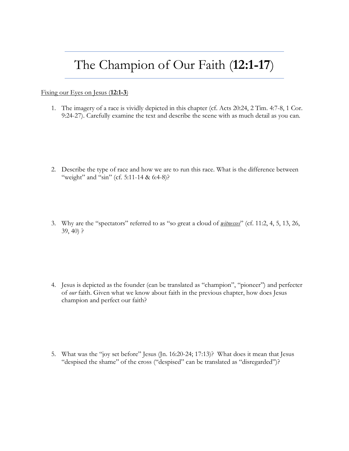## The Champion of Our Faith (**12:1-17**)

## Fixing our Eyes on Jesus (**12:1-3**)

1. The imagery of a race is vividly depicted in this chapter (cf. Acts 20:24, 2 Tim. 4:7-8, 1 Cor. 9:24-27). Carefully examine the text and describe the scene with as much detail as you can.

- 2. Describe the type of race and how we are to run this race. What is the difference between "weight" and "sin" (cf. 5:11-14 & 6:4-8)?
- 3. Why are the "spectators" referred to as "so great a cloud of *witnesses*" (cf. 11:2, 4, 5, 13, 26, 39, 40) ?

4. Jesus is depicted as the founder (can be translated as "champion", "pioneer") and perfecter of *our* faith. Given what we know about faith in the previous chapter, how does Jesus champion and perfect our faith?

5. What was the "joy set before" Jesus (Jn. 16:20-24; 17:13)? What does it mean that Jesus "despised the shame" of the cross ("despised" can be translated as "disregarded")?